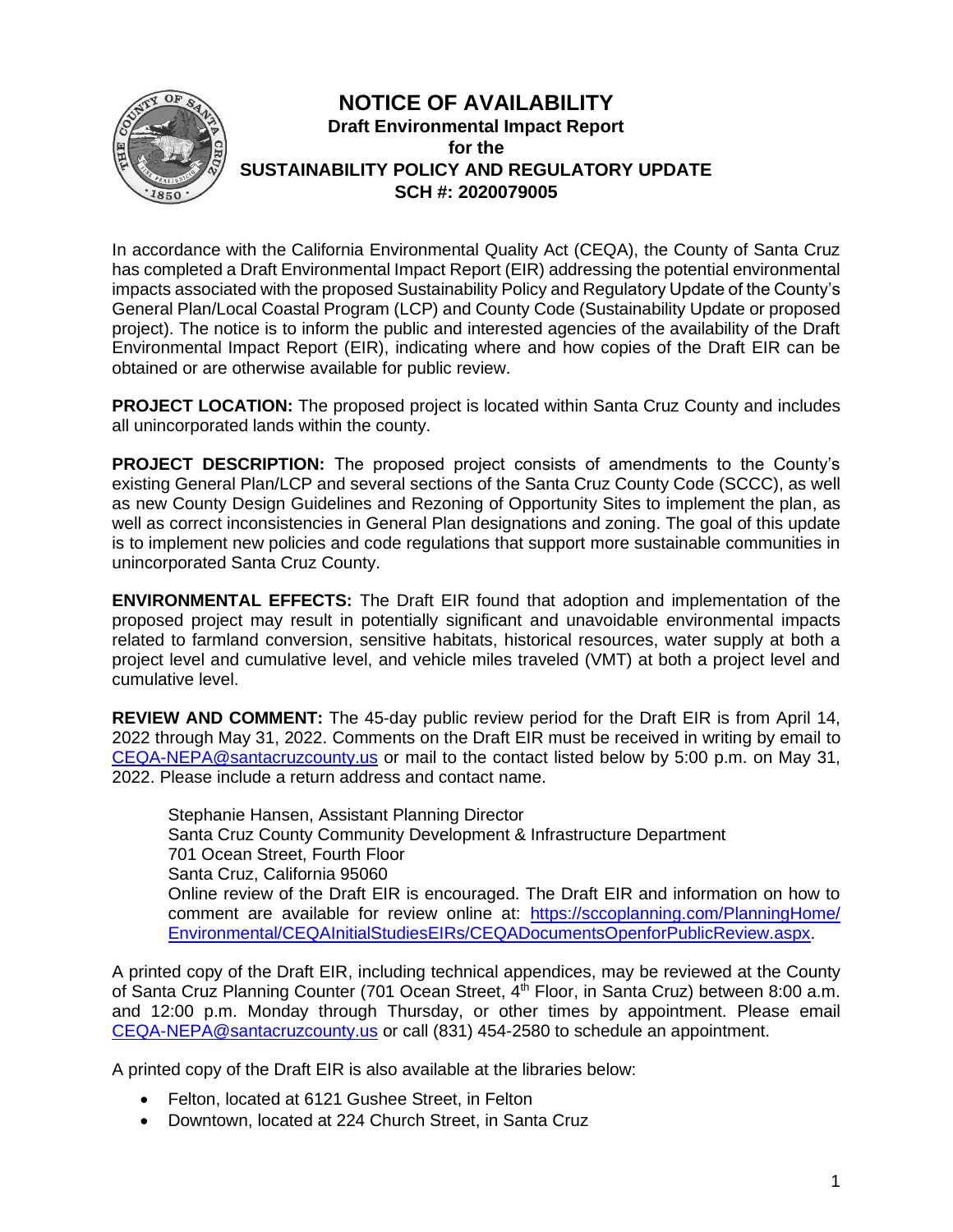

In accordance with the California Environmental Quality Act (CEQA), the County of Santa Cruz has completed a Draft Environmental Impact Report (EIR) addressing the potential environmental impacts associated with the proposed Sustainability Policy and Regulatory Update of the County's General Plan/Local Coastal Program (LCP) and County Code (Sustainability Update or proposed project). The notice is to inform the public and interested agencies of the availability of the Draft Environmental Impact Report (EIR), indicating where and how copies of the Draft EIR can be obtained or are otherwise available for public review.

**PROJECT LOCATION:** The proposed project is located within Santa Cruz County and includes all unincorporated lands within the county.

**PROJECT DESCRIPTION:** The proposed project consists of amendments to the County's existing General Plan/LCP and several sections of the Santa Cruz County Code (SCCC), as well as new County Design Guidelines and Rezoning of Opportunity Sites to implement the plan, as well as correct inconsistencies in General Plan designations and zoning. The goal of this update is to implement new policies and code regulations that support more sustainable communities in unincorporated Santa Cruz County.

**ENVIRONMENTAL EFFECTS:** The Draft EIR found that adoption and implementation of the proposed project may result in potentially significant and unavoidable environmental impacts related to farmland conversion, sensitive habitats, historical resources, water supply at both a project level and cumulative level, and vehicle miles traveled (VMT) at both a project level and cumulative level.

**REVIEW AND COMMENT:** The 45-day public review period for the Draft EIR is from April 14, 2022 through May 31, 2022. Comments on the Draft EIR must be received in writing by email to [CEQA-NEPA@santacruzcounty.us](mailto:CEQA-NEPA@santacruzcounty.us) or mail to the contact listed below by 5:00 p.m. on May 31, 2022. Please include a return address and contact name.

Stephanie Hansen, Assistant Planning Director Santa Cruz County Community Development & Infrastructure Department 701 Ocean Street, Fourth Floor Santa Cruz, California 95060 Online review of the Draft EIR is encouraged. The Draft EIR and information on how to comment are available for review online at: [https://sccoplanning.com/PlanningHome/](https://sccoplanning.com/PlanningHome/Environmental/CEQAInitialStudiesEIRs/CEQADocumentsOpenforPublicReview.aspx) [Environmental/CEQAInitialStudiesEIRs/CEQADocumentsOpenforPublicReview.aspx.](https://sccoplanning.com/PlanningHome/Environmental/CEQAInitialStudiesEIRs/CEQADocumentsOpenforPublicReview.aspx)

A printed copy of the Draft EIR, including technical appendices, may be reviewed at the County of Santa Cruz Planning Counter (701 Ocean Street, 4<sup>th</sup> Floor, in Santa Cruz) between 8:00 a.m. and 12:00 p.m. Monday through Thursday, or other times by appointment. Please email [CEQA-NEPA@santacruzcounty.us](mailto:CEQA-NEPA@santacruzcounty.us) or call (831) 454-2580 to schedule an appointment.

A printed copy of the Draft EIR is also available at the libraries below:

- Felton, located at 6121 Gushee Street, in Felton
- Downtown, located at 224 Church Street, in Santa Cruz